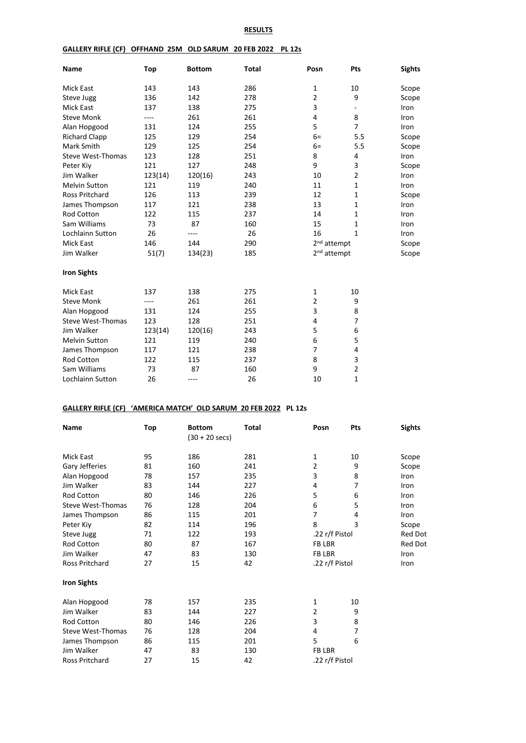### **RESULTS**

#### **GALLERY RIFLE (CF) OFFHAND 25M OLD SARUM 20 FEB 2022 PL 12s**

| Name                     | Top     | <b>Bottom</b> | <b>Total</b> | Posn                    | Pts                      | <b>Sights</b> |
|--------------------------|---------|---------------|--------------|-------------------------|--------------------------|---------------|
| <b>Mick East</b>         | 143     | 143           | 286          | $\mathbf{1}$            | 10                       | Scope         |
| Steve Jugg               | 136     | 142           | 278          | $\overline{2}$          | 9                        | Scope         |
| <b>Mick East</b>         | 137     | 138           | 275          | 3                       | $\overline{\phantom{0}}$ | Iron          |
| <b>Steve Monk</b>        | ----    | 261           | 261          | 4                       | 8                        | Iron          |
| Alan Hopgood             | 131     | 124           | 255          | 5                       | $\overline{7}$           | Iron          |
| <b>Richard Clapp</b>     | 125     | 129           | 254          | $6=$                    | 5.5                      | Scope         |
| Mark Smith               | 129     | 125           | 254          | $6=$                    | 5.5                      | Scope         |
| <b>Steve West-Thomas</b> | 123     | 128           | 251          | 8                       | 4                        | Iron          |
| Peter Kiy                | 121     | 127           | 248          | 9                       | 3                        | Scope         |
| Jim Walker               | 123(14) | 120(16)       | 243          | 10                      | $\overline{2}$           | Iron          |
| <b>Melvin Sutton</b>     | 121     | 119           | 240          | 11                      | $\mathbf{1}$             | Iron          |
| <b>Ross Pritchard</b>    | 126     | 113           | 239          | 12                      | $\mathbf{1}$             | Scope         |
| James Thompson           | 117     | 121           | 238          | 13                      | $\mathbf{1}$             | Iron          |
| <b>Rod Cotton</b>        | 122     | 115           | 237          | 14                      | $\mathbf{1}$             | Iron          |
| Sam Williams             | 73      | 87            | 160          | 15                      | $\mathbf{1}$             | Iron          |
| Lochlainn Sutton         | 26      | $---$         | 26           | 16                      | $\mathbf{1}$             | Iron          |
| <b>Mick East</b>         | 146     | 144           | 290          | 2 <sup>nd</sup> attempt |                          | Scope         |
| Jim Walker               | 51(7)   | 134(23)       | 185          | 2 <sup>nd</sup> attempt |                          | Scope         |
| <b>Iron Sights</b>       |         |               |              |                         |                          |               |
| <b>Mick East</b>         | 137     | 138           | 275          | 1                       | 10                       |               |
| <b>Steve Monk</b>        | ----    | 261           | 261          | $\overline{2}$          | 9                        |               |
| Alan Hopgood             | 131     | 124           | 255          | 3                       | 8                        |               |
| <b>Steve West-Thomas</b> | 123     | 128           | 251          | 4                       | $\overline{7}$           |               |
| Jim Walker               | 123(14) | 120(16)       | 243          | 5                       | 6                        |               |
| <b>Melvin Sutton</b>     | 121     | 119           | 240          | 6                       | 5                        |               |
| James Thompson           | 117     | 121           | 238          | 7                       | 4                        |               |
| <b>Rod Cotton</b>        | 122     | 115           | 237          | 8                       | 3                        |               |
| Sam Williams             | 73      | 87            | 160          | 9                       | $\overline{2}$           |               |
| <b>Lochlainn Sutton</b>  | 26      | ----          | 26           | 10                      | $\mathbf{1}$             |               |

# **GALLERY RIFLE (CF) 'AMERICA MATCH' OLD SARUM 20 FEB 2022 PL 12s**

| <b>Name</b>           | Top | <b>Bottom</b><br>$(30 + 20 \text{ secs})$ | Total | Posn           | Pts | <b>Sights</b>  |
|-----------------------|-----|-------------------------------------------|-------|----------------|-----|----------------|
| Mick East             | 95  | 186                                       | 281   | 1              | 10  | Scope          |
| Gary Jefferies        | 81  | 160                                       | 241   | 2              | 9   | Scope          |
| Alan Hopgood          | 78  | 157                                       | 235   | 3              | 8   | Iron           |
| Jim Walker            | 83  | 144                                       | 227   | 4              | 7   | Iron           |
| <b>Rod Cotton</b>     | 80  | 146                                       | 226   | 5              | 6   | Iron           |
| Steve West-Thomas     | 76  | 128                                       | 204   | 6              | 5   | Iron           |
| James Thompson        | 86  | 115                                       | 201   | 7              | 4   | Iron           |
| Peter Kiy             | 82  | 114                                       | 196   | 8              | 3   | Scope          |
| Steve Jugg            | 71  | 122                                       | 193   | .22 r/f Pistol |     | <b>Red Dot</b> |
| <b>Rod Cotton</b>     | 80  | 87                                        | 167   | <b>FB LBR</b>  |     | <b>Red Dot</b> |
| Jim Walker            | 47  | 83                                        | 130   | <b>FB LBR</b>  |     | Iron           |
| Ross Pritchard        | 27  | 15                                        | 42    | .22 r/f Pistol |     | Iron           |
| <b>Iron Sights</b>    |     |                                           |       |                |     |                |
| Alan Hopgood          | 78  | 157                                       | 235   | 1              | 10  |                |
| Jim Walker            | 83  | 144                                       | 227   | 2              | 9   |                |
| <b>Rod Cotton</b>     | 80  | 146                                       | 226   | 3              | 8   |                |
| Steve West-Thomas     | 76  | 128                                       | 204   | 4              | 7   |                |
| James Thompson        | 86  | 115                                       | 201   | 5              | 6   |                |
| Jim Walker            | 47  | 83                                        | 130   | <b>FB LBR</b>  |     |                |
| <b>Ross Pritchard</b> | 27  | 15                                        | 42    | .22 r/f Pistol |     |                |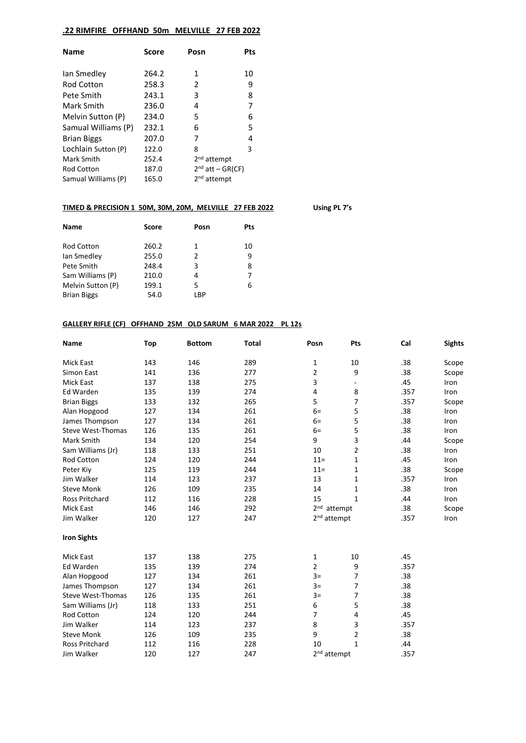# **.22 RIMFIRE OFFHAND 50m MELVILLE 27 FEB 2022**

| <b>Name</b>         | Score | Posn                    | Pts |
|---------------------|-------|-------------------------|-----|
| lan Smedley         | 264.2 | 1                       | 10  |
| <b>Rod Cotton</b>   | 258.3 | 2                       | 9   |
| Pete Smith          | 243.1 | 3                       | 8   |
| Mark Smith          | 236.0 | 4                       | 7   |
| Melvin Sutton (P)   | 234.0 | 5                       | 6   |
| Samual Williams (P) | 232.1 | 6                       | 5   |
| <b>Brian Biggs</b>  | 207.0 | 7                       | 4   |
| Lochlain Sutton (P) | 122.0 | 8                       | 3   |
| Mark Smith          | 252.4 | 2 <sup>nd</sup> attempt |     |
| <b>Rod Cotton</b>   | 187.0 | $2nd$ att – GR(CF)      |     |
| Samual Williams (P) | 165.0 | 2 <sup>nd</sup> attempt |     |

# **TIMED & PRECISION 1 50M, 30M, 20M, MELVILLE 27 FEB 2022 Using PL 7's**

| <b>Name</b>        | <b>Score</b> | Posn          | Pts |
|--------------------|--------------|---------------|-----|
|                    |              |               |     |
| Rod Cotton         | 260.2        | 1             | 10  |
| lan Smedley        | 255.0        | $\mathcal{P}$ | 9   |
| Pete Smith         | 248.4        | 3             | 8   |
| Sam Williams (P)   | 210.0        | 4             | 7   |
| Melvin Sutton (P)  | 199.1        | 5             | 6   |
| <b>Brian Biggs</b> | 54.0         | LBP           |     |

#### **GALLERY RIFLE (CF) OFFHAND 25M OLD SARUM 6 MAR 2022 PL 12s**

| Name                     | Top | <b>Bottom</b> | <b>Total</b> | Posn                    | Pts                      | Cal  | <b>Sights</b> |
|--------------------------|-----|---------------|--------------|-------------------------|--------------------------|------|---------------|
| <b>Mick East</b>         | 143 | 146           | 289          | 1                       | 10                       | .38  | Scope         |
| Simon East               | 141 | 136           | 277          | 2                       | 9                        | .38  | Scope         |
| <b>Mick East</b>         | 137 | 138           | 275          | 3                       | $\overline{\phantom{a}}$ | .45  | Iron          |
| <b>Ed Warden</b>         | 135 | 139           | 274          | 4                       | 8                        | .357 | Iron          |
| <b>Brian Biggs</b>       | 133 | 132           | 265          | 5                       | $\overline{7}$           | .357 | Scope         |
| Alan Hopgood             | 127 | 134           | 261          | $6=$                    | 5                        | .38  | Iron          |
| James Thompson           | 127 | 134           | 261          | $6=$                    | 5                        | .38  | Iron          |
| <b>Steve West-Thomas</b> | 126 | 135           | 261          | $6=$                    | 5                        | .38  | Iron          |
| Mark Smith               | 134 | 120           | 254          | 9                       | 3                        | .44  | Scope         |
| Sam Williams (Jr)        | 118 | 133           | 251          | 10                      | $\overline{2}$           | .38  | Iron          |
| Rod Cotton               | 124 | 120           | 244          | $11 =$                  | 1                        | .45  | Iron          |
| Peter Kiy                | 125 | 119           | 244          | $11 =$                  | 1                        | .38  | Scope         |
| Jim Walker               | 114 | 123           | 237          | 13                      | $\mathbf{1}$             | .357 | Iron          |
| <b>Steve Monk</b>        | 126 | 109           | 235          | 14                      | 1                        | .38  | Iron          |
| <b>Ross Pritchard</b>    | 112 | 116           | 228          | 15                      | $\mathbf{1}$             | .44  | Iron          |
| <b>Mick East</b>         | 146 | 146           | 292          | 2 <sup>nd</sup> attempt |                          | .38  | Scope         |
| Jim Walker               | 120 | 127           | 247          | 2 <sup>nd</sup> attempt |                          | .357 | Iron          |
| <b>Iron Sights</b>       |     |               |              |                         |                          |      |               |
| <b>Mick East</b>         | 137 | 138           | 275          | 1                       | 10                       | .45  |               |
| Ed Warden                | 135 | 139           | 274          | $\overline{2}$          | 9                        | .357 |               |
| Alan Hopgood             | 127 | 134           | 261          | $3=$                    | $\overline{7}$           | .38  |               |
| James Thompson           | 127 | 134           | 261          | $3=$                    | 7                        | .38  |               |
| <b>Steve West-Thomas</b> | 126 | 135           | 261          | $3=$                    | $\overline{7}$           | .38  |               |
| Sam Williams (Jr)        | 118 | 133           | 251          | 6                       | 5                        | .38  |               |
| Rod Cotton               | 124 | 120           | 244          | 7                       | 4                        | .45  |               |
| Jim Walker               | 114 | 123           | 237          | 8                       | 3                        | .357 |               |
| <b>Steve Monk</b>        | 126 | 109           | 235          | 9                       | $\overline{2}$           | .38  |               |
| <b>Ross Pritchard</b>    | 112 | 116           | 228          | 10                      | $\mathbf{1}$             | .44  |               |
| Jim Walker               | 120 | 127           | 247          | 2 <sup>nd</sup> attempt |                          | .357 |               |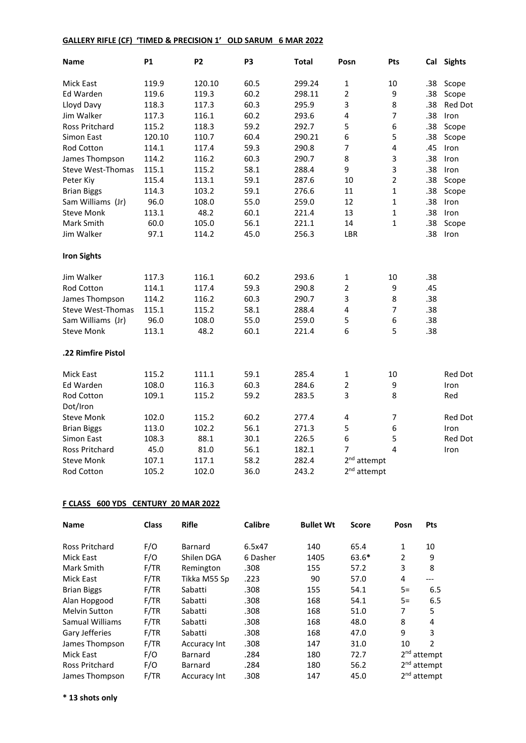# **GALLERY RIFLE (CF) 'TIMED & PRECISION 1' OLD SARUM 6 MAR 2022**

| <b>Name</b>              | <b>P1</b> | <b>P2</b> | P <sub>3</sub> | <b>Total</b> | Posn                    | Pts            |     | Cal Sights     |
|--------------------------|-----------|-----------|----------------|--------------|-------------------------|----------------|-----|----------------|
| Mick East                | 119.9     | 120.10    | 60.5           | 299.24       | $\mathbf{1}$            | 10             | .38 | Scope          |
| Ed Warden                | 119.6     | 119.3     | 60.2           | 298.11       | $\overline{2}$          | 9              | .38 | Scope          |
| Lloyd Davy               | 118.3     | 117.3     | 60.3           | 295.9        | 3                       | 8              | .38 | Red Dot        |
| Jim Walker               | 117.3     | 116.1     | 60.2           | 293.6        | 4                       | $\overline{7}$ | .38 | Iron           |
| Ross Pritchard           | 115.2     | 118.3     | 59.2           | 292.7        | 5                       | 6              | .38 | Scope          |
| Simon East               | 120.10    | 110.7     | 60.4           | 290.21       | 6                       | 5              | .38 | Scope          |
| Rod Cotton               | 114.1     | 117.4     | 59.3           | 290.8        | $\overline{7}$          | 4              | .45 | Iron           |
| James Thompson           | 114.2     | 116.2     | 60.3           | 290.7        | 8                       | 3              | .38 | Iron           |
| Steve West-Thomas        | 115.1     | 115.2     | 58.1           | 288.4        | 9                       | 3              | .38 | Iron           |
| Peter Kiy                | 115.4     | 113.1     | 59.1           | 287.6        | 10                      | $\overline{2}$ | .38 | Scope          |
| <b>Brian Biggs</b>       | 114.3     | 103.2     | 59.1           | 276.6        | 11                      | $\mathbf{1}$   | .38 | Scope          |
| Sam Williams (Jr)        | 96.0      | 108.0     | 55.0           | 259.0        | 12                      | $\mathbf{1}$   | .38 | Iron           |
| <b>Steve Monk</b>        | 113.1     | 48.2      | 60.1           | 221.4        | 13                      | $\mathbf{1}$   | .38 | Iron           |
| Mark Smith               | 60.0      | 105.0     | 56.1           | 221.1        | 14                      | $\mathbf{1}$   | .38 | Scope          |
| Jim Walker               | 97.1      | 114.2     | 45.0           | 256.3        | LBR                     |                | .38 | Iron           |
| <b>Iron Sights</b>       |           |           |                |              |                         |                |     |                |
| Jim Walker               | 117.3     | 116.1     | 60.2           | 293.6        | 1                       | 10             | .38 |                |
| Rod Cotton               | 114.1     | 117.4     | 59.3           | 290.8        | 2                       | 9              | .45 |                |
| James Thompson           | 114.2     | 116.2     | 60.3           | 290.7        | 3                       | 8              | .38 |                |
| <b>Steve West-Thomas</b> | 115.1     | 115.2     | 58.1           | 288.4        | 4                       | $\overline{7}$ | .38 |                |
| Sam Williams (Jr)        | 96.0      | 108.0     | 55.0           | 259.0        | 5                       | 6              | .38 |                |
| <b>Steve Monk</b>        | 113.1     | 48.2      | 60.1           | 221.4        | 6                       | 5              | .38 |                |
| .22 Rimfire Pistol       |           |           |                |              |                         |                |     |                |
| Mick East                | 115.2     | 111.1     | 59.1           | 285.4        | 1                       | 10             |     | <b>Red Dot</b> |
| Ed Warden                | 108.0     | 116.3     | 60.3           | 284.6        | $\overline{2}$          | 9              |     | Iron           |
| Rod Cotton               | 109.1     | 115.2     | 59.2           | 283.5        | 3                       | 8              |     | Red            |
| Dot/Iron                 |           |           |                |              |                         |                |     |                |
| <b>Steve Monk</b>        | 102.0     | 115.2     | 60.2           | 277.4        | $\overline{\mathbf{4}}$ | 7              |     | <b>Red Dot</b> |
| <b>Brian Biggs</b>       | 113.0     | 102.2     | 56.1           | 271.3        | 5                       | 6              |     | Iron           |
| Simon East               | 108.3     | 88.1      | 30.1           | 226.5        | 6                       | 5              |     | Red Dot        |
| Ross Pritchard           | 45.0      | 81.0      | 56.1           | 182.1        | 7                       | $\overline{4}$ |     | Iron           |
| <b>Steve Monk</b>        | 107.1     | 117.1     | 58.2           | 282.4        | 2 <sup>nd</sup> attempt |                |     |                |
| Rod Cotton               | 105.2     | 102.0     | 36.0           | 243.2        | 2 <sup>nd</sup> attempt |                |     |                |

# **F CLASS 600 YDS CENTURY 20 MAR 2022**

| <b>Name</b>           | <b>Class</b> | <b>Rifle</b>        | <b>Calibre</b> | <b>Bullet Wt</b> | <b>Score</b> | Posn | <b>Pts</b>    |
|-----------------------|--------------|---------------------|----------------|------------------|--------------|------|---------------|
| <b>Ross Pritchard</b> | F/O          | Barnard             | 6.5x47         | 140              | 65.4         | 1    | 10            |
| Mick East             | F/O          | Shilen DGA          | 6 Dasher       | 1405             | $63.6*$      | 2    | 9             |
| Mark Smith            | F/TR         | Remington           | .308           | 155              | 57.2         | 3    | 8             |
| <b>Mick East</b>      | F/TR         | Tikka M55 Sp        | .223           | 90               | 57.0         | 4    | $---$         |
| <b>Brian Biggs</b>    | F/TR         | Sabatti             | .308           | 155              | 54.1         | $5=$ | 6.5           |
| Alan Hopgood          | F/TR         | Sabatti             | .308           | 168              | 54.1         | $5=$ | 6.5           |
| <b>Melvin Sutton</b>  | F/TR         | Sabatti             | .308           | 168              | 51.0         | 7    | 5             |
| Samual Williams       | F/TR         | Sabatti             | .308           | 168              | 48.0         | 8    | 4             |
| Gary Jefferies        | F/TR         | Sabatti             | .308           | 168              | 47.0         | 9    | 3             |
| James Thompson        | F/TR         | <b>Accuracy Int</b> | .308           | 147              | 31.0         | 10   | 2             |
| <b>Mick East</b>      | F/O          | Barnard             | .284           | 180              | 72.7         |      | $2nd$ attempt |
| <b>Ross Pritchard</b> | F/O          | <b>Barnard</b>      | .284           | 180              | 56.2         |      | $2nd$ attempt |
| James Thompson        | F/TR         | <b>Accuracy Int</b> | .308           | 147              | 45.0         |      | $2nd$ attempt |

**\* 13 shots only**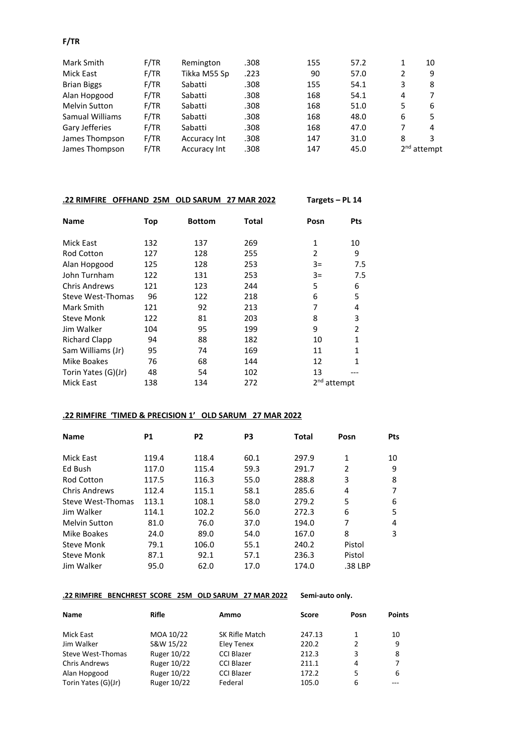# **F/TR**

| Mark Smith           | F/TR | Remington           | .308 | 155 | 57.2 |   | 10            |
|----------------------|------|---------------------|------|-----|------|---|---------------|
| Mick East            | F/TR | Tikka M55 Sp        | .223 | 90  | 57.0 | 2 | 9             |
| <b>Brian Biggs</b>   | F/TR | Sabatti             | .308 | 155 | 54.1 | 3 | 8             |
| Alan Hopgood         | F/TR | Sabatti             | .308 | 168 | 54.1 | 4 | 7             |
| <b>Melvin Sutton</b> | F/TR | Sabatti             | .308 | 168 | 51.0 | 5 | 6             |
| Samual Williams      | F/TR | Sabatti             | .308 | 168 | 48.0 | 6 | 5             |
| Gary Jefferies       | F/TR | Sabatti             | .308 | 168 | 47.0 | 7 | 4             |
| James Thompson       | F/TR | Accuracy Int        | .308 | 147 | 31.0 | 8 | 3             |
| James Thompson       | F/TR | <b>Accuracy Int</b> | .308 | 147 | 45.0 |   | $2nd$ attempt |

# **.22 RIMFIRE OFFHAND 25M OLD SARUM 27 MAR 2022 Targets – PL 14**

| <b>Name</b>          | Top | <b>Bottom</b> | <b>Total</b> | Posn                    | <b>Pts</b>     |
|----------------------|-----|---------------|--------------|-------------------------|----------------|
| Mick East            | 132 | 137           | 269          | 1                       | 10             |
| <b>Rod Cotton</b>    | 127 | 128           | 255          | 2                       | 9              |
| Alan Hopgood         | 125 | 128           | 253          | $3=$                    | 7.5            |
| John Turnham         | 122 | 131           | 253          | $3=$                    | 7.5            |
| <b>Chris Andrews</b> | 121 | 123           | 244          | 5                       | 6              |
| Steve West-Thomas    | 96  | 122           | 218          | 6                       | 5              |
| Mark Smith           | 121 | 92            | 213          | 7                       | 4              |
| <b>Steve Monk</b>    | 122 | 81            | 203          | 8                       | 3              |
| Jim Walker           | 104 | 95            | 199          | 9                       | $\overline{2}$ |
| <b>Richard Clapp</b> | 94  | 88            | 182          | 10                      | $\mathbf{1}$   |
| Sam Williams (Jr)    | 95  | 74            | 169          | 11                      | 1              |
| Mike Boakes          | 76  | 68            | 144          | 12                      | 1              |
| Torin Yates (G)(Jr)  | 48  | 54            | 102          | 13                      |                |
| <b>Mick East</b>     | 138 | 134           | 272          | 2 <sup>nd</sup> attempt |                |

# **.22 RIMFIRE 'TIMED & PRECISION 1' OLD SARUM 27 MAR 2022**

| <b>Name</b>          | <b>P1</b> | P <sub>2</sub> | P3   | Total | Posn           | <b>Pts</b> |
|----------------------|-----------|----------------|------|-------|----------------|------------|
| Mick East            | 119.4     | 118.4          | 60.1 | 297.9 | 1              | 10         |
| Ed Bush              | 117.0     | 115.4          | 59.3 | 291.7 | $\overline{2}$ | 9          |
| Rod Cotton           | 117.5     | 116.3          | 55.0 | 288.8 | 3              | 8          |
| <b>Chris Andrews</b> | 112.4     | 115.1          | 58.1 | 285.6 | 4              |            |
| Steve West-Thomas    | 113.1     | 108.1          | 58.0 | 279.2 | 5              | 6          |
| Jim Walker           | 114.1     | 102.2          | 56.0 | 272.3 | 6              | 5          |
| Melvin Sutton        | 81.0      | 76.0           | 37.0 | 194.0 | 7              | 4          |
| Mike Boakes          | 24.0      | 89.0           | 54.0 | 167.0 | 8              | 3          |
| Steve Monk           | 79.1      | 106.0          | 55.1 | 240.2 | Pistol         |            |
| Steve Monk           | 87.1      | 92.1           | 57.1 | 236.3 | Pistol         |            |
| Jim Walker           | 95.0      | 62.0           | 17.0 | 174.0 | .38 LBP        |            |

# **.22 RIMFIRE BENCHREST SCORE 25M OLD SARUM 27 MAR 2022 Semi-auto only.**

| <b>Name</b>         | <b>Rifle</b> | Ammo              | <b>Score</b> | Posn | <b>Points</b> |
|---------------------|--------------|-------------------|--------------|------|---------------|
| Mick East           | MOA 10/22    | SK Rifle Match    | 247.13       |      | 10            |
| Jim Walker          | S&W 15/22    | Eley Tenex        | 220.2        | 2    | 9             |
| Steve West-Thomas   | Ruger 10/22  | <b>CCI Blazer</b> | 212.3        | 3    | 8             |
| Chris Andrews       | Ruger 10/22  | <b>CCI Blazer</b> | 211.1        | 4    | 7             |
| Alan Hopgood        | Ruger 10/22  | <b>CCI Blazer</b> | 172.2        | 5.   | 6             |
| Torin Yates (G)(Jr) | Ruger 10/22  | Federal           | 105.0        | 6    |               |
|                     |              |                   |              |      |               |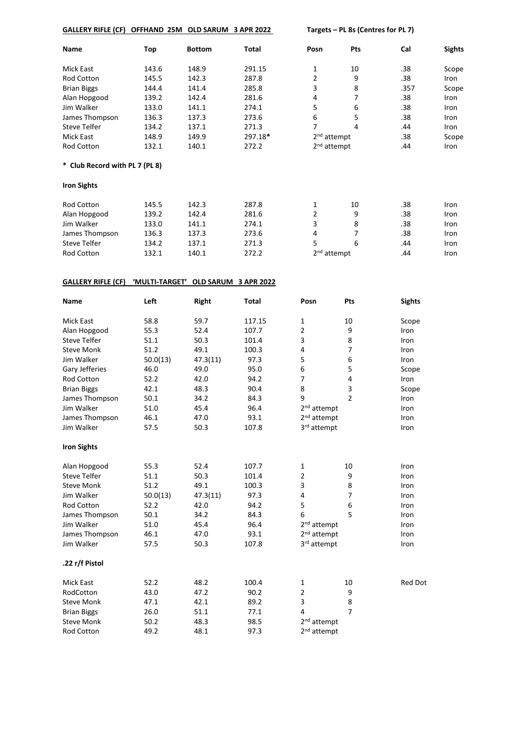| GALLERY RIFLE (CF) OFFHAND 25M OLD SARUM 3 APR 2022 |  |  |  |  |  |
|-----------------------------------------------------|--|--|--|--|--|
|-----------------------------------------------------|--|--|--|--|--|

**EXECUTE:** Targets – PL 8s (Centres for PL 7)

| Name                           | Top   | <b>Bottom</b> | <b>Total</b> | Posn                    | Pts | Cal  | <b>Sights</b> |
|--------------------------------|-------|---------------|--------------|-------------------------|-----|------|---------------|
| Mick East                      | 143.6 | 148.9         | 291.15       | 1                       | 10  | .38  | Scope         |
| <b>Rod Cotton</b>              | 145.5 | 142.3         | 287.8        | 2                       | 9   | .38  | Iron          |
| <b>Brian Biggs</b>             | 144.4 | 141.4         | 285.8        | 3                       | 8   | .357 | Scope         |
| Alan Hopgood                   | 139.2 | 142.4         | 281.6        | 4                       | 7   | .38  | Iron          |
| Jim Walker                     | 133.0 | 141.1         | 274.1        | 5                       | 6   | .38  | Iron          |
| James Thompson                 | 136.3 | 137.3         | 273.6        | 6                       | 5   | .38  | Iron          |
| <b>Steve Telfer</b>            | 134.2 | 137.1         | 271.3        | 7                       | 4   | .44  | Iron          |
| <b>Mick East</b>               | 148.9 | 149.9         | 297.18*      | $2nd$ attempt           |     | .38  | Scope         |
| Rod Cotton                     | 132.1 | 140.1         | 272.2        | 2 <sup>nd</sup> attempt |     | .44  | Iron          |
| * Club Record with PL 7 (PL 8) |       |               |              |                         |     |      |               |
| <b>Iron Sights</b>             |       |               |              |                         |     |      |               |
| Rod Cotton                     | 145.5 | 142.3         | 287.8        | 1                       | 10  | .38  | Iron          |
| Alan Hopgood                   | 139.2 | 142.4         | 281.6        | 2                       | 9   | .38  | Iron          |
| Jim Walker                     | 133.0 | 141.1         | 274.1        | 3                       | 8   | .38  | Iron          |
| James Thompson                 | 136.3 | 137.3         | 273.6        | 4                       | 7   | .38  | <b>Iron</b>   |
| <b>Steve Telfer</b>            | 134.2 | 137.1         | 271.3        | 5                       | 6   | .44  | Iron          |
| Rod Cotton                     | 132.1 | 140.1         | 272.2        | 2 <sup>nd</sup> attempt |     | .44  | Iron          |

# **GALLERY RIFLE (CF) 'MULTI-TARGET' OLD SARUM 3 APR 2022**

| <b>Name</b>         | Left     | <b>Right</b> | <b>Total</b> | Posn                    | Pts            | <b>Sights</b>  |
|---------------------|----------|--------------|--------------|-------------------------|----------------|----------------|
| <b>Mick East</b>    | 58.8     | 59.7         | 117.15       | 1                       | 10             | Scope          |
| Alan Hopgood        | 55.3     | 52.4         | 107.7        | $\overline{2}$          | 9              | Iron           |
| <b>Steve Telfer</b> | 51.1     | 50.3         | 101.4        | 3                       | 8              | Iron           |
| <b>Steve Monk</b>   | 51.2     | 49.1         | 100.3        | 4                       | $\overline{7}$ | Iron           |
| Jim Walker          | 50.0(13) | 47.3(11)     | 97.3         | 5                       | 6              | Iron           |
| Gary Jefferies      | 46.0     | 49.0         | 95.0         | 6                       | 5              | Scope          |
| Rod Cotton          | 52.2     | 42.0         | 94.2         | 7                       | 4              | Iron           |
| <b>Brian Biggs</b>  | 42.1     | 48.3         | 90.4         | 8                       | 3              | Scope          |
| James Thompson      | 50.1     | 34.2         | 84.3         | 9                       | $\overline{2}$ | Iron           |
| Jim Walker          | 51.0     | 45.4         | 96.4         | 2 <sup>nd</sup> attempt |                | Iron           |
| James Thompson      | 46.1     | 47.0         | 93.1         | 2 <sup>nd</sup> attempt |                | Iron           |
| Jim Walker          | 57.5     | 50.3         | 107.8        | 3rd attempt             |                | Iron           |
| <b>Iron Sights</b>  |          |              |              |                         |                |                |
| Alan Hopgood        | 55.3     | 52.4         | 107.7        | 1                       | 10             | Iron           |
| <b>Steve Telfer</b> | 51.1     | 50.3         | 101.4        | 2                       | 9              | Iron           |
| <b>Steve Monk</b>   | 51.2     | 49.1         | 100.3        | 3                       | 8              | Iron           |
| Jim Walker          | 50.0(13) | 47.3(11)     | 97.3         | 4                       | $\overline{7}$ | Iron           |
| Rod Cotton          | 52.2     | 42.0         | 94.2         | 5                       | 6              | Iron           |
| James Thompson      | 50.1     | 34.2         | 84.3         | 6                       | 5              | Iron           |
| Jim Walker          | 51.0     | 45.4         | 96.4         | 2 <sup>nd</sup> attempt |                | Iron           |
| James Thompson      | 46.1     | 47.0         | 93.1         | 2 <sup>nd</sup> attempt |                | Iron           |
| Jim Walker          | 57.5     | 50.3         | 107.8        | 3rd attempt             |                | Iron           |
| .22 r/f Pistol      |          |              |              |                         |                |                |
| <b>Mick East</b>    | 52.2     | 48.2         | 100.4        | 1                       | 10             | <b>Red Dot</b> |
| RodCotton           | 43.0     | 47.2         | 90.2         | $\overline{2}$          | 9              |                |
| <b>Steve Monk</b>   | 47.1     | 42.1         | 89.2         | 3                       | 8              |                |
| <b>Brian Biggs</b>  | 26.0     | 51.1         | 77.1         | 4                       | $\overline{7}$ |                |
| <b>Steve Monk</b>   | 50.2     | 48.3         | 98.5         | 2 <sup>nd</sup> attempt |                |                |
| <b>Rod Cotton</b>   | 49.2     | 48.1         | 97.3         | 2 <sup>nd</sup> attempt |                |                |